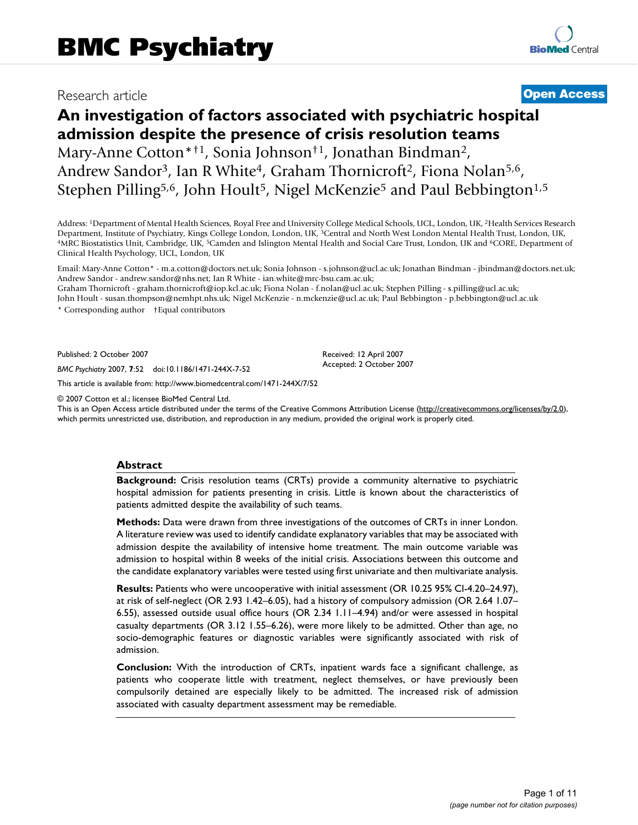# Research article **[Open Access](http://www.biomedcentral.com/info/about/charter/)**

# **An investigation of factors associated with psychiatric hospital admission despite the presence of crisis resolution teams** Mary-Anne Cotton\*†1, Sonia Johnson†1, Jonathan Bindman2, Andrew Sandor<sup>3</sup>, Ian R White<sup>4</sup>, Graham Thornicroft<sup>2</sup>, Fiona Nolan<sup>5,6</sup>,

Stephen Pilling<sup>5,6</sup>, John Hoult<sup>5</sup>, Nigel McKenzie<sup>5</sup> and Paul Bebbington<sup>1,5</sup>

Address: <sup>1</sup>Department of Mental Health Sciences, Royal Free and University College Medical Schools, UCL, London, UK, <sup>2</sup>Health Services Research Department, Institute of Psychiatry, Kings College London, London, UK, <sup>3</sup>Ce <sup>4</sup>MRC Biostatistics Unit, Cambridge, UK, <sup>5</sup>Camden and Islington Mental Health and Social Care Trust, London, UK and <sup>6</sup>CORE, Department of Clinical Health Psychology, UCL, London, UK

Email: Mary-Anne Cotton\* - m.a.cotton@doctors.net.uk; Sonia Johnson - s.johnson@ucl.ac.uk; Jonathan Bindman - jbindman@doctors.net.uk; Andrew Sandor - andrew.sandor@nhs.net; Ian R White - ian.white@mrc-bsu.cam.ac.uk;

Graham Thornicroft - graham.thornicroft@iop.kcl.ac.uk; Fiona Nolan - f.nolan@ucl.ac.uk; Stephen Pilling - s.pilling@ucl.ac.uk;

John Hoult - susan.thompson@nemhpt.nhs.uk; Nigel McKenzie - n.mckenzie@ucl.ac.uk; Paul Bebbington - p.bebbington@ucl.ac.uk \* Corresponding author †Equal contributors

Published: 2 October 2007

*BMC Psychiatry* 2007, **7**:52 doi:10.1186/1471-244X-7-52

[This article is available from: http://www.biomedcentral.com/1471-244X/7/52](http://www.biomedcentral.com/1471-244X/7/52)

© 2007 Cotton et al.; licensee BioMed Central Ltd.

This is an Open Access article distributed under the terms of the Creative Commons Attribution License [\(http://creativecommons.org/licenses/by/2.0\)](http://creativecommons.org/licenses/by/2.0), which permits unrestricted use, distribution, and reproduction in any medium, provided the original work is properly cited.

Received: 12 April 2007 Accepted: 2 October 2007

#### **Abstract**

**Background:** Crisis resolution teams (CRTs) provide a community alternative to psychiatric hospital admission for patients presenting in crisis. Little is known about the characteristics of patients admitted despite the availability of such teams.

**Methods:** Data were drawn from three investigations of the outcomes of CRTs in inner London. A literature review was used to identify candidate explanatory variables that may be associated with admission despite the availability of intensive home treatment. The main outcome variable was admission to hospital within 8 weeks of the initial crisis. Associations between this outcome and the candidate explanatory variables were tested using first univariate and then multivariate analysis.

**Results:** Patients who were uncooperative with initial assessment (OR 10.25 95% CI-4.20–24.97), at risk of self-neglect (OR 2.93 1.42–6.05), had a history of compulsory admission (OR 2.64 1.07– 6.55), assessed outside usual office hours (OR 2.34 1.11–4.94) and/or were assessed in hospital casualty departments (OR 3.12 1.55–6.26), were more likely to be admitted. Other than age, no socio-demographic features or diagnostic variables were significantly associated with risk of admission.

**Conclusion:** With the introduction of CRTs, inpatient wards face a significant challenge, as patients who cooperate little with treatment, neglect themselves, or have previously been compulsorily detained are especially likely to be admitted. The increased risk of admission associated with casualty department assessment may be remediable.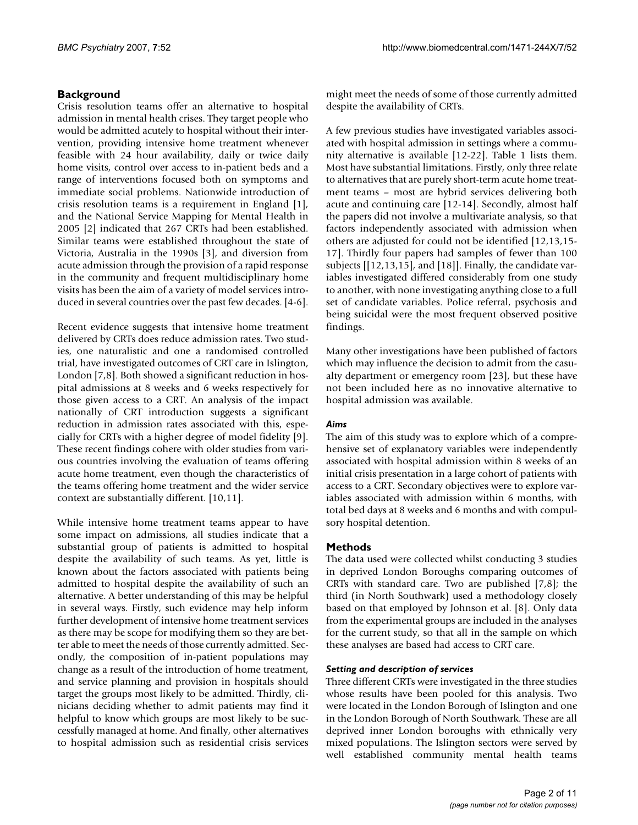# **Background**

Crisis resolution teams offer an alternative to hospital admission in mental health crises. They target people who would be admitted acutely to hospital without their intervention, providing intensive home treatment whenever feasible with 24 hour availability, daily or twice daily home visits, control over access to in-patient beds and a range of interventions focused both on symptoms and immediate social problems. Nationwide introduction of crisis resolution teams is a requirement in England [1], and the National Service Mapping for Mental Health in 2005 [2] indicated that 267 CRTs had been established. Similar teams were established throughout the state of Victoria, Australia in the 1990s [3], and diversion from acute admission through the provision of a rapid response in the community and frequent multidisciplinary home visits has been the aim of a variety of model services introduced in several countries over the past few decades. [4-6].

Recent evidence suggests that intensive home treatment delivered by CRTs does reduce admission rates. Two studies, one naturalistic and one a randomised controlled trial, have investigated outcomes of CRT care in Islington, London [7,8]. Both showed a significant reduction in hospital admissions at 8 weeks and 6 weeks respectively for those given access to a CRT. An analysis of the impact nationally of CRT introduction suggests a significant reduction in admission rates associated with this, especially for CRTs with a higher degree of model fidelity [9]. These recent findings cohere with older studies from various countries involving the evaluation of teams offering acute home treatment, even though the characteristics of the teams offering home treatment and the wider service context are substantially different. [10,11].

While intensive home treatment teams appear to have some impact on admissions, all studies indicate that a substantial group of patients is admitted to hospital despite the availability of such teams. As yet, little is known about the factors associated with patients being admitted to hospital despite the availability of such an alternative. A better understanding of this may be helpful in several ways. Firstly, such evidence may help inform further development of intensive home treatment services as there may be scope for modifying them so they are better able to meet the needs of those currently admitted. Secondly, the composition of in-patient populations may change as a result of the introduction of home treatment, and service planning and provision in hospitals should target the groups most likely to be admitted. Thirdly, clinicians deciding whether to admit patients may find it helpful to know which groups are most likely to be successfully managed at home. And finally, other alternatives to hospital admission such as residential crisis services

might meet the needs of some of those currently admitted despite the availability of CRTs.

A few previous studies have investigated variables associated with hospital admission in settings where a community alternative is available [12-22]. Table 1 lists them. Most have substantial limitations. Firstly, only three relate to alternatives that are purely short-term acute home treatment teams – most are hybrid services delivering both acute and continuing care [12-14]. Secondly, almost half the papers did not involve a multivariate analysis, so that factors independently associated with admission when others are adjusted for could not be identified [12,13,15- 17]. Thirdly four papers had samples of fewer than 100 subjects [[12,13,15], and [18]]. Finally, the candidate variables investigated differed considerably from one study to another, with none investigating anything close to a full set of candidate variables. Police referral, psychosis and being suicidal were the most frequent observed positive findings.

Many other investigations have been published of factors which may influence the decision to admit from the casualty department or emergency room [23], but these have not been included here as no innovative alternative to hospital admission was available.

#### *Aims*

The aim of this study was to explore which of a comprehensive set of explanatory variables were independently associated with hospital admission within 8 weeks of an initial crisis presentation in a large cohort of patients with access to a CRT. Secondary objectives were to explore variables associated with admission within 6 months, with total bed days at 8 weeks and 6 months and with compulsory hospital detention.

# **Methods**

The data used were collected whilst conducting 3 studies in deprived London Boroughs comparing outcomes of CRTs with standard care. Two are published [7,8]; the third (in North Southwark) used a methodology closely based on that employed by Johnson et al. [8]. Only data from the experimental groups are included in the analyses for the current study, so that all in the sample on which these analyses are based had access to CRT care.

#### *Setting and description of services*

Three different CRTs were investigated in the three studies whose results have been pooled for this analysis. Two were located in the London Borough of Islington and one in the London Borough of North Southwark. These are all deprived inner London boroughs with ethnically very mixed populations. The Islington sectors were served by well established community mental health teams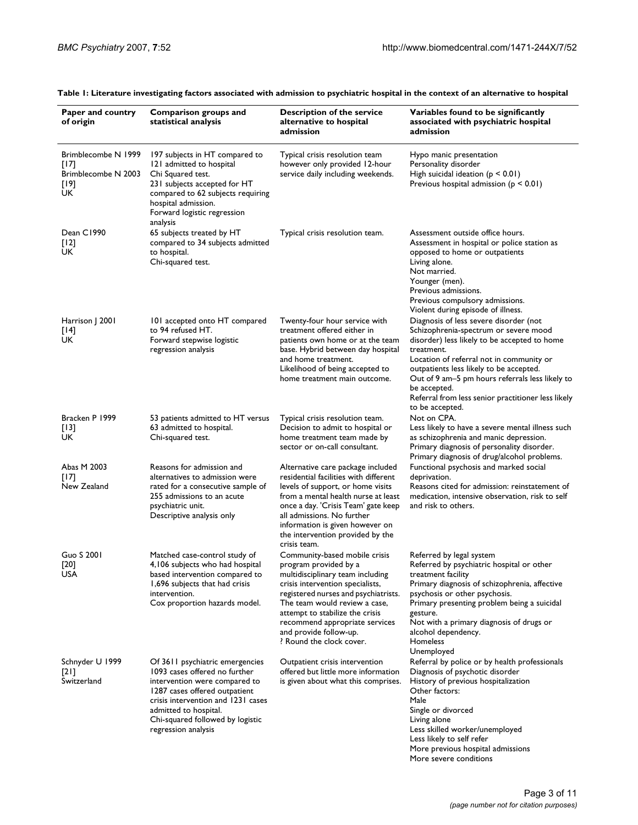| Paper and country<br>of origin                                    | Comparison groups and<br>statistical analysis                                                                                                                                                                                                                | Description of the service<br>alternative to hospital<br>admission                                                                                                                                                                                                                                                                 | Variables found to be significantly<br>associated with psychiatric hospital<br>admission                                                                                                                                                                                                                                                                                         |
|-------------------------------------------------------------------|--------------------------------------------------------------------------------------------------------------------------------------------------------------------------------------------------------------------------------------------------------------|------------------------------------------------------------------------------------------------------------------------------------------------------------------------------------------------------------------------------------------------------------------------------------------------------------------------------------|----------------------------------------------------------------------------------------------------------------------------------------------------------------------------------------------------------------------------------------------------------------------------------------------------------------------------------------------------------------------------------|
| Brimblecombe N 1999<br>[17]<br>Brimblecombe N 2003<br>[19]<br>UK. | 197 subjects in HT compared to<br>121 admitted to hospital<br>Chi Squared test.<br>231 subjects accepted for HT<br>compared to 62 subjects requiring<br>hospital admission.<br>Forward logistic regression<br>analysis                                       | Typical crisis resolution team<br>however only provided 12-hour<br>service daily including weekends.                                                                                                                                                                                                                               | Hypo manic presentation<br>Personality disorder<br>High suicidal ideation ( $p < 0.01$ )<br>Previous hospital admission ( $p < 0.01$ )                                                                                                                                                                                                                                           |
| Dean C1990<br>[12]<br>UK                                          | 65 subjects treated by HT<br>compared to 34 subjects admitted<br>to hospital.<br>Chi-squared test.                                                                                                                                                           | Typical crisis resolution team.                                                                                                                                                                                                                                                                                                    | Assessment outside office hours.<br>Assessment in hospital or police station as<br>opposed to home or outpatients<br>Living alone.<br>Not married.<br>Younger (men).<br>Previous admissions.<br>Previous compulsory admissions.<br>Violent during episode of illness.                                                                                                            |
| Harrison   200 l<br>[14]<br>UK                                    | 101 accepted onto HT compared<br>to 94 refused HT.<br>Forward stepwise logistic<br>regression analysis                                                                                                                                                       | Twenty-four hour service with<br>treatment offered either in<br>patients own home or at the team<br>base. Hybrid between day hospital<br>and home treatment.<br>Likelihood of being accepted to<br>home treatment main outcome.                                                                                                    | Diagnosis of less severe disorder (not<br>Schizophrenia-spectrum or severe mood<br>disorder) less likely to be accepted to home<br>treatment.<br>Location of referral not in community or<br>outpatients less likely to be accepted.<br>Out of 9 am–5 pm hours referrals less likely to<br>be accepted.<br>Referral from less senior practitioner less likely<br>to be accepted. |
| Bracken P 1999<br>$[13]$<br>UK.                                   | 53 patients admitted to HT versus<br>63 admitted to hospital.<br>Chi-squared test.                                                                                                                                                                           | Typical crisis resolution team.<br>Decision to admit to hospital or<br>home treatment team made by<br>sector or on-call consultant.                                                                                                                                                                                                | Not on CPA.<br>Less likely to have a severe mental illness such<br>as schizophrenia and manic depression.<br>Primary diagnosis of personality disorder.<br>Primary diagnosis of drug/alcohol problems.                                                                                                                                                                           |
| Abas M 2003<br>[17]<br>New Zealand                                | Reasons for admission and<br>alternatives to admission were<br>rated for a consecutive sample of<br>255 admissions to an acute<br>psychiatric unit.<br>Descriptive analysis only                                                                             | Alternative care package included<br>residential facilities with different<br>levels of support, or home visits<br>from a mental health nurse at least<br>once a day. 'Crisis Team' gate keep<br>all admissions. No further<br>information is given however on<br>the intervention provided by the<br>crisis team.                 | Functional psychosis and marked social<br>deprivation.<br>Reasons cited for admission: reinstatement of<br>medication, intensive observation, risk to self<br>and risk to others.                                                                                                                                                                                                |
| <b>Guo S 2001</b><br>$[20]$<br><b>USA</b>                         | Matched case-control study of<br>4,106 subjects who had hospital<br>based intervention compared to<br>1,696 subjects that had crisis<br>intervention.<br>Cox proportion hazards model.                                                                       | Community-based mobile crisis<br>program provided by a<br>multidisciplinary team including<br>crisis intervention specialists,<br>registered nurses and psychiatrists.<br>The team would review a case,<br>attempt to stabilize the crisis<br>recommend appropriate services<br>and provide follow-up.<br>? Round the clock cover. | Referred by legal system<br>Referred by psychiatric hospital or other<br>treatment facility<br>Primary diagnosis of schizophrenia, affective<br>psychosis or other psychosis.<br>Primary presenting problem being a suicidal<br>gesture.<br>Not with a primary diagnosis of drugs or<br>alcohol dependency.<br>Homeless<br>Unemployed                                            |
| Schnyder U 1999<br>$[21]$<br>Switzerland                          | Of 3611 psychiatric emergencies<br>1093 cases offered no further<br>intervention were compared to<br>1287 cases offered outpatient<br>crisis intervention and 1231 cases<br>admitted to hospital.<br>Chi-squared followed by logistic<br>regression analysis | Outpatient crisis intervention<br>offered but little more information<br>is given about what this comprises.                                                                                                                                                                                                                       | Referral by police or by health professionals<br>Diagnosis of psychotic disorder<br>History of previous hospitalization<br>Other factors:<br>Male<br>Single or divorced<br>Living alone<br>Less skilled worker/unemployed<br>Less likely to self refer<br>More previous hospital admissions<br>More severe conditions                                                            |

**Table 1: Literature investigating factors associated with admission to psychiatric hospital in the context of an alternative to hospital**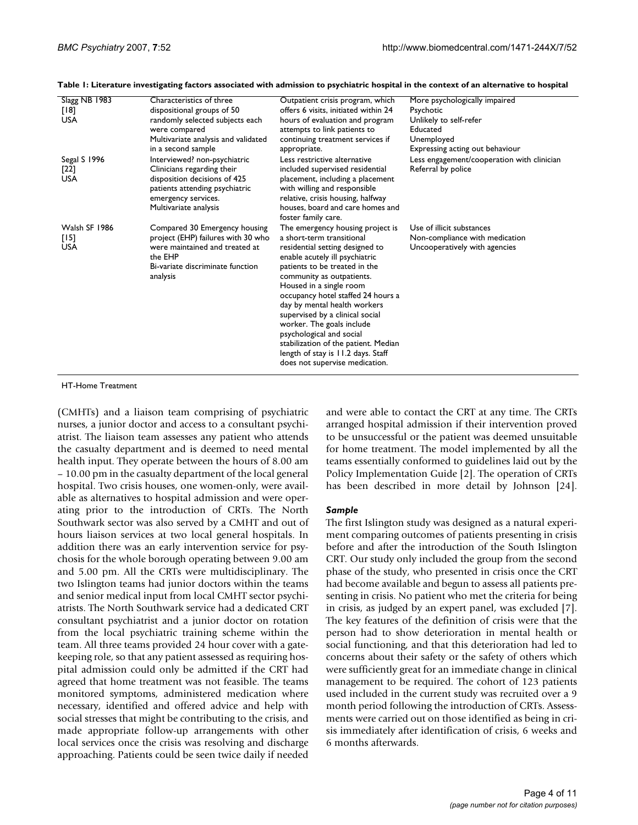| Slagg NB 1983<br>[18]<br><b>USA</b>   | Characteristics of three<br>dispositional groups of 50<br>randomly selected subjects each<br>were compared<br>Multivariate analysis and validated<br>in a second sample      | Outpatient crisis program, which<br>offers 6 visits, initiated within 24<br>hours of evaluation and program<br>attempts to link patients to<br>continuing treatment services if<br>appropriate.                                                                                                                                                                                                                                                                                                               | More psychologically impaired<br>Psychotic<br>Unlikely to self-refer<br>Educated<br>Unemployed<br>Expressing acting out behaviour |
|---------------------------------------|------------------------------------------------------------------------------------------------------------------------------------------------------------------------------|---------------------------------------------------------------------------------------------------------------------------------------------------------------------------------------------------------------------------------------------------------------------------------------------------------------------------------------------------------------------------------------------------------------------------------------------------------------------------------------------------------------|-----------------------------------------------------------------------------------------------------------------------------------|
| Segal S 1996<br>$[22]$<br><b>USA</b>  | Interviewed? non-psychiatric<br>Clinicians regarding their<br>disposition decisions of 425<br>patients attending psychiatric<br>emergency services.<br>Multivariate analysis | Less restrictive alternative<br>included supervised residential<br>placement, including a placement<br>with willing and responsible<br>relative, crisis housing, halfway<br>houses, board and care homes and<br>foster family care.                                                                                                                                                                                                                                                                           | Less engagement/cooperation with clinician<br>Referral by police                                                                  |
| Walsh SF 1986<br>$[15]$<br><b>USA</b> | Compared 30 Emergency housing<br>project (EHP) failures with 30 who<br>were maintained and treated at<br>the EHP<br>Bi-variate discriminate function<br>analysis             | The emergency housing project is<br>a short-term transitional<br>residential setting designed to<br>enable acutely ill psychiatric<br>patients to be treated in the<br>community as outpatients.<br>Housed in a single room<br>occupancy hotel staffed 24 hours a<br>day by mental health workers<br>supervised by a clinical social<br>worker. The goals include<br>psychological and social<br>stabilization of the patient. Median<br>length of stay is 11.2 days. Staff<br>does not supervise medication. | Use of illicit substances<br>Non-compliance with medication<br>Uncooperatively with agencies                                      |

**Table 1: Literature investigating factors associated with admission to psychiatric hospital in the context of an alternative to hospital**

HT-Home Treatment

(CMHTs) and a liaison team comprising of psychiatric nurses, a junior doctor and access to a consultant psychiatrist. The liaison team assesses any patient who attends the casualty department and is deemed to need mental health input. They operate between the hours of 8.00 am – 10.00 pm in the casualty department of the local general hospital. Two crisis houses, one women-only, were available as alternatives to hospital admission and were operating prior to the introduction of CRTs. The North Southwark sector was also served by a CMHT and out of hours liaison services at two local general hospitals. In addition there was an early intervention service for psychosis for the whole borough operating between 9.00 am and 5.00 pm. All the CRTs were multidisciplinary. The two Islington teams had junior doctors within the teams and senior medical input from local CMHT sector psychiatrists. The North Southwark service had a dedicated CRT consultant psychiatrist and a junior doctor on rotation from the local psychiatric training scheme within the team. All three teams provided 24 hour cover with a gatekeeping role, so that any patient assessed as requiring hospital admission could only be admitted if the CRT had agreed that home treatment was not feasible. The teams monitored symptoms, administered medication where necessary, identified and offered advice and help with social stresses that might be contributing to the crisis, and made appropriate follow-up arrangements with other local services once the crisis was resolving and discharge approaching. Patients could be seen twice daily if needed and were able to contact the CRT at any time. The CRTs arranged hospital admission if their intervention proved to be unsuccessful or the patient was deemed unsuitable for home treatment. The model implemented by all the teams essentially conformed to guidelines laid out by the Policy Implementation Guide [2]. The operation of CRTs has been described in more detail by Johnson [24].

#### *Sample*

The first Islington study was designed as a natural experiment comparing outcomes of patients presenting in crisis before and after the introduction of the South Islington CRT. Our study only included the group from the second phase of the study, who presented in crisis once the CRT had become available and begun to assess all patients presenting in crisis. No patient who met the criteria for being in crisis, as judged by an expert panel, was excluded [7]. The key features of the definition of crisis were that the person had to show deterioration in mental health or social functioning, and that this deterioration had led to concerns about their safety or the safety of others which were sufficiently great for an immediate change in clinical management to be required. The cohort of 123 patients used included in the current study was recruited over a 9 month period following the introduction of CRTs. Assessments were carried out on those identified as being in crisis immediately after identification of crisis, 6 weeks and 6 months afterwards.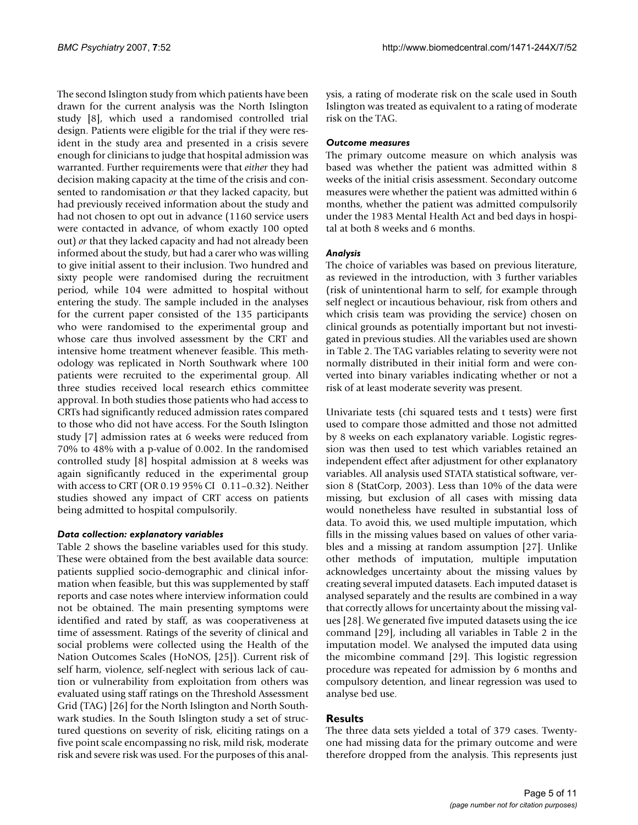The second Islington study from which patients have been drawn for the current analysis was the North Islington study [8], which used a randomised controlled trial design. Patients were eligible for the trial if they were resident in the study area and presented in a crisis severe enough for clinicians to judge that hospital admission was warranted. Further requirements were that *either* they had decision making capacity at the time of the crisis and consented to randomisation *or* that they lacked capacity, but had previously received information about the study and had not chosen to opt out in advance (1160 service users were contacted in advance, of whom exactly 100 opted out) *or* that they lacked capacity and had not already been informed about the study, but had a carer who was willing to give initial assent to their inclusion. Two hundred and sixty people were randomised during the recruitment period, while 104 were admitted to hospital without entering the study. The sample included in the analyses for the current paper consisted of the 135 participants who were randomised to the experimental group and whose care thus involved assessment by the CRT and intensive home treatment whenever feasible. This methodology was replicated in North Southwark where 100 patients were recruited to the experimental group. All three studies received local research ethics committee approval. In both studies those patients who had access to CRTs had significantly reduced admission rates compared to those who did not have access. For the South Islington study [7] admission rates at 6 weeks were reduced from 70% to 48% with a p-value of 0.002. In the randomised controlled study [8] hospital admission at 8 weeks was again significantly reduced in the experimental group with access to CRT (OR 0.19 95% CI 0.11–0.32). Neither studies showed any impact of CRT access on patients being admitted to hospital compulsorily.

#### *Data collection: explanatory variables*

Table 2 shows the baseline variables used for this study. These were obtained from the best available data source: patients supplied socio-demographic and clinical information when feasible, but this was supplemented by staff reports and case notes where interview information could not be obtained. The main presenting symptoms were identified and rated by staff, as was cooperativeness at time of assessment. Ratings of the severity of clinical and social problems were collected using the Health of the Nation Outcomes Scales (HoNOS, [25]). Current risk of self harm, violence, self-neglect with serious lack of caution or vulnerability from exploitation from others was evaluated using staff ratings on the Threshold Assessment Grid (TAG) [26] for the North Islington and North Southwark studies. In the South Islington study a set of structured questions on severity of risk, eliciting ratings on a five point scale encompassing no risk, mild risk, moderate risk and severe risk was used. For the purposes of this analysis, a rating of moderate risk on the scale used in South Islington was treated as equivalent to a rating of moderate risk on the TAG.

#### *Outcome measures*

The primary outcome measure on which analysis was based was whether the patient was admitted within 8 weeks of the initial crisis assessment. Secondary outcome measures were whether the patient was admitted within 6 months, whether the patient was admitted compulsorily under the 1983 Mental Health Act and bed days in hospital at both 8 weeks and 6 months.

#### *Analysis*

The choice of variables was based on previous literature, as reviewed in the introduction, with 3 further variables (risk of unintentional harm to self, for example through self neglect or incautious behaviour, risk from others and which crisis team was providing the service) chosen on clinical grounds as potentially important but not investigated in previous studies. All the variables used are shown in Table 2. The TAG variables relating to severity were not normally distributed in their initial form and were converted into binary variables indicating whether or not a risk of at least moderate severity was present.

Univariate tests (chi squared tests and t tests) were first used to compare those admitted and those not admitted by 8 weeks on each explanatory variable. Logistic regression was then used to test which variables retained an independent effect after adjustment for other explanatory variables. All analysis used STATA statistical software, version 8 (StatCorp, 2003). Less than 10% of the data were missing, but exclusion of all cases with missing data would nonetheless have resulted in substantial loss of data. To avoid this, we used multiple imputation, which fills in the missing values based on values of other variables and a missing at random assumption [27]. Unlike other methods of imputation, multiple imputation acknowledges uncertainty about the missing values by creating several imputed datasets. Each imputed dataset is analysed separately and the results are combined in a way that correctly allows for uncertainty about the missing values [28]. We generated five imputed datasets using the ice command [29], including all variables in Table 2 in the imputation model. We analysed the imputed data using the micombine command [29]. This logistic regression procedure was repeated for admission by 6 months and compulsory detention, and linear regression was used to analyse bed use.

# **Results**

The three data sets yielded a total of 379 cases. Twentyone had missing data for the primary outcome and were therefore dropped from the analysis. This represents just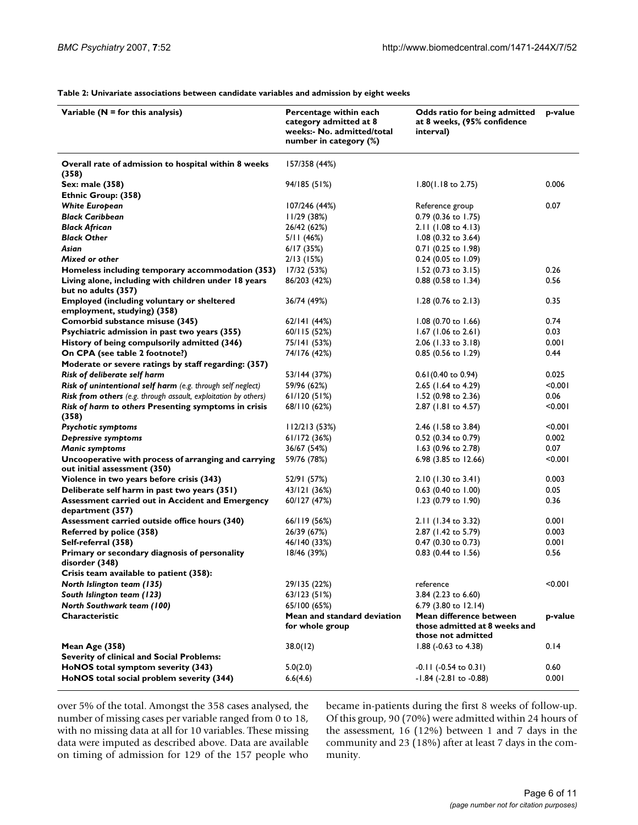| Table 2: Univariate associations between candidate variables and admission by eight weeks |  |  |  |
|-------------------------------------------------------------------------------------------|--|--|--|
|-------------------------------------------------------------------------------------------|--|--|--|

| Variable ( $N =$ for this analysis)                                                  | Percentage within each<br>category admitted at 8<br>weeks:- No. admitted/total<br>number in category $(\%)$ | Odds ratio for being admitted<br>at 8 weeks, (95% confidence<br>interval)      | p-value |
|--------------------------------------------------------------------------------------|-------------------------------------------------------------------------------------------------------------|--------------------------------------------------------------------------------|---------|
| Overall rate of admission to hospital within 8 weeks<br>(358)                        | 157/358 (44%)                                                                                               |                                                                                |         |
| Sex: male (358)                                                                      | 94/185 (51%)                                                                                                | $1.80(1.18 \text{ to } 2.75)$                                                  | 0.006   |
| Ethnic Group: (358)                                                                  |                                                                                                             |                                                                                |         |
| <b>White European</b>                                                                | 107/246 (44%)                                                                                               | Reference group                                                                | 0.07    |
| <b>Black Caribbean</b>                                                               | 11/29(38%)                                                                                                  | $0.79$ (0.36 to 1.75)                                                          |         |
| <b>Black African</b>                                                                 | 26/42 (62%)                                                                                                 | 2.11 (1.08 to 4.13)                                                            |         |
| <b>Black Other</b>                                                                   | 5/11(46%)                                                                                                   | $1.08$ (0.32 to 3.64)                                                          |         |
| Asian                                                                                | 6/17(35%)                                                                                                   | 0.71 (0.25 to 1.98)                                                            |         |
| Mixed or other                                                                       | $2/13$ (15%)                                                                                                | 0.24 (0.05 to 1.09)                                                            |         |
| Homeless including temporary accommodation (353)                                     | 17/32 (53%)                                                                                                 | 1.52 (0.73 to 3.15)                                                            | 0.26    |
| Living alone, including with children under 18 years<br>but no adults (357)          | 86/203 (42%)                                                                                                | 0.88 (0.58 to 1.34)                                                            | 0.56    |
| <b>Employed (including voluntary or sheltered</b><br>employment, studying) (358)     | 36/74 (49%)                                                                                                 | $1.28$ (0.76 to 2.13)                                                          | 0.35    |
| Comorbid substance misuse (345)                                                      | 62/141 (44%)                                                                                                | $1.08$ (0.70 to 1.66)                                                          | 0.74    |
| Psychiatric admission in past two years (355)                                        | 60/115 (52%)                                                                                                | $1.67$ (1.06 to 2.61)                                                          | 0.03    |
| History of being compulsorily admitted (346)                                         | 75/141 (53%)                                                                                                | 2.06 (1.33 to 3.18)                                                            | 0.001   |
| On CPA (see table 2 footnote?)                                                       | 74/176 (42%)                                                                                                | 0.85 (0.56 to 1.29)                                                            | 0.44    |
| Moderate or severe ratings by staff regarding: (357)                                 |                                                                                                             |                                                                                |         |
| Risk of deliberate self harm                                                         | 53/144 (37%)                                                                                                | $0.61(0.40 \text{ to } 0.94)$                                                  | 0.025   |
| Risk of unintentional self harm (e.g. through self neglect)                          | 59/96 (62%)                                                                                                 | 2.65 (1.64 to 4.29)                                                            | < 0.001 |
| Risk from others (e.g. through assault, exploitation by others)                      | 61/120(51%)                                                                                                 | 1.52 (0.98 to 2.36)                                                            | 0.06    |
| Risk of harm to others Presenting symptoms in crisis<br>(358)                        | 68/110 (62%)                                                                                                | 2.87 (1.81 to 4.57)                                                            | < 0.001 |
| Psychotic symptoms                                                                   | 112/213(53%)                                                                                                | 2.46 (1.58 to 3.84)                                                            | < 0.001 |
| Depressive symptoms                                                                  | 61/172 (36%)                                                                                                | $0.52$ (0.34 to 0.79)                                                          | 0.002   |
| <b>Manic symptoms</b>                                                                | 36/67 (54%)                                                                                                 | 1.63 (0.96 to 2.78)                                                            | 0.07    |
| Uncooperative with process of arranging and carrying<br>out initial assessment (350) | 59/76 (78%)                                                                                                 | 6.98 (3.85 to 12.66)                                                           | < 0.001 |
| Violence in two years before crisis (343)                                            | 52/91 (57%)                                                                                                 | 2.10 (1.30 to 3.41)                                                            | 0.003   |
| Deliberate self harm in past two years (351)                                         | 43/121 (36%)                                                                                                | $0.63$ (0.40 to 1.00)                                                          | 0.05    |
| Assessment carried out in Accident and Emergency<br>department (357)                 | 60/127 (47%)                                                                                                | 1.23 $(0.79 \text{ to } 1.90)$                                                 | 0.36    |
| Assessment carried outside office hours (340)                                        | 66/119 (56%)                                                                                                | 2.11 (1.34 to 3.32)                                                            | 0.001   |
| Referred by police (358)                                                             | 26/39 (67%)                                                                                                 | 2.87 (1.42 to 5.79)                                                            | 0.003   |
| Self-referral (358)                                                                  | 46/140 (33%)                                                                                                | 0.47 (0.30 to 0.73)                                                            | 0.001   |
| Primary or secondary diagnosis of personality<br>disorder (348)                      | 18/46 (39%)                                                                                                 | 0.83 (0.44 to 1.56)                                                            | 0.56    |
| Crisis team available to patient (358):                                              |                                                                                                             |                                                                                |         |
| North Islington team (135)                                                           | 29/135 (22%)                                                                                                | reference                                                                      | <0.001  |
| South Islington team (123)                                                           | 63/123 (51%)                                                                                                | 3.84 (2.23 to 6.60)                                                            |         |
| North Southwark team (100)                                                           | 65/100 (65%)                                                                                                | 6.79 (3.80 to $12.14$ )                                                        |         |
| Characteristic                                                                       | Mean and standard deviation<br>for whole group                                                              | Mean difference between<br>those admitted at 8 weeks and<br>those not admitted | p-value |
| Mean Age (358)                                                                       | 38.0(12)                                                                                                    | 1.88 (-0.63 to 4.38)                                                           | 0.14    |
| <b>Severity of clinical and Social Problems:</b>                                     |                                                                                                             |                                                                                |         |
| HoNOS total symptom severity (343)                                                   | 5.0(2.0)                                                                                                    | $-0.11$ ( $-0.54$ to $0.31$ )                                                  | 0.60    |
| HoNOS total social problem severity (344)                                            | 6.6(4.6)                                                                                                    | $-1.84$ ( $-2.81$ to $-0.88$ )                                                 | 0.001   |

over 5% of the total. Amongst the 358 cases analysed, the number of missing cases per variable ranged from 0 to 18, with no missing data at all for 10 variables. These missing data were imputed as described above. Data are available on timing of admission for 129 of the 157 people who became in-patients during the first 8 weeks of follow-up. Of this group, 90 (70%) were admitted within 24 hours of the assessment, 16 (12%) between 1 and 7 days in the community and 23 (18%) after at least 7 days in the community.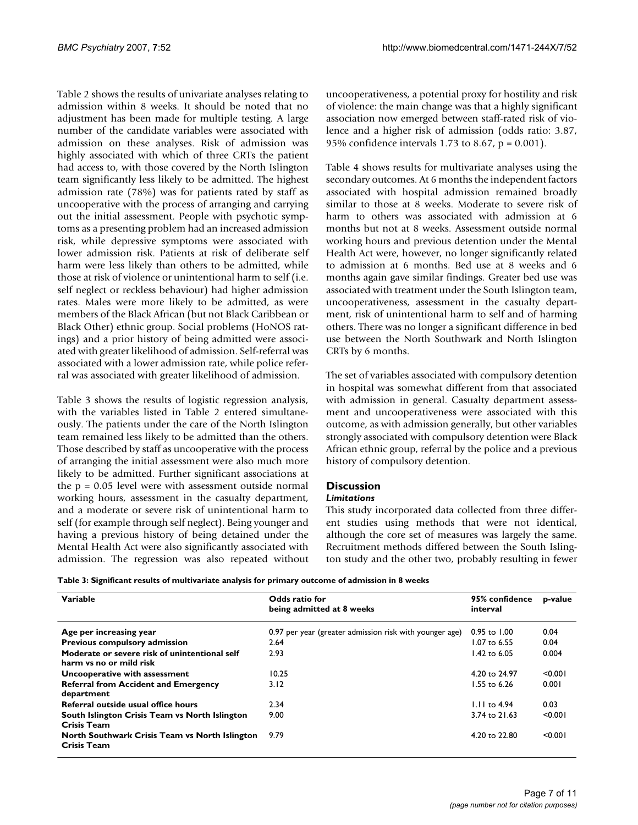Table 2 shows the results of univariate analyses relating to admission within 8 weeks. It should be noted that no adjustment has been made for multiple testing. A large number of the candidate variables were associated with admission on these analyses. Risk of admission was highly associated with which of three CRTs the patient had access to, with those covered by the North Islington team significantly less likely to be admitted. The highest admission rate (78%) was for patients rated by staff as uncooperative with the process of arranging and carrying out the initial assessment. People with psychotic symptoms as a presenting problem had an increased admission risk, while depressive symptoms were associated with lower admission risk. Patients at risk of deliberate self harm were less likely than others to be admitted, while those at risk of violence or unintentional harm to self (i.e. self neglect or reckless behaviour) had higher admission rates. Males were more likely to be admitted, as were members of the Black African (but not Black Caribbean or Black Other) ethnic group. Social problems (HoNOS ratings) and a prior history of being admitted were associated with greater likelihood of admission. Self-referral was associated with a lower admission rate, while police referral was associated with greater likelihood of admission.

Table 3 shows the results of logistic regression analysis, with the variables listed in Table 2 entered simultaneously. The patients under the care of the North Islington team remained less likely to be admitted than the others. Those described by staff as uncooperative with the process of arranging the initial assessment were also much more likely to be admitted. Further significant associations at the  $p = 0.05$  level were with assessment outside normal working hours, assessment in the casualty department, and a moderate or severe risk of unintentional harm to self (for example through self neglect). Being younger and having a previous history of being detained under the Mental Health Act were also significantly associated with admission. The regression was also repeated without uncooperativeness, a potential proxy for hostility and risk of violence: the main change was that a highly significant association now emerged between staff-rated risk of violence and a higher risk of admission (odds ratio: 3.87, 95% confidence intervals 1.73 to 8.67, p = 0.001).

Table 4 shows results for multivariate analyses using the secondary outcomes. At 6 months the independent factors associated with hospital admission remained broadly similar to those at 8 weeks. Moderate to severe risk of harm to others was associated with admission at 6 months but not at 8 weeks. Assessment outside normal working hours and previous detention under the Mental Health Act were, however, no longer significantly related to admission at 6 months. Bed use at 8 weeks and 6 months again gave similar findings. Greater bed use was associated with treatment under the South Islington team, uncooperativeness, assessment in the casualty department, risk of unintentional harm to self and of harming others. There was no longer a significant difference in bed use between the North Southwark and North Islington CRTs by 6 months.

The set of variables associated with compulsory detention in hospital was somewhat different from that associated with admission in general. Casualty department assessment and uncooperativeness were associated with this outcome, as with admission generally, but other variables strongly associated with compulsory detention were Black African ethnic group, referral by the police and a previous history of compulsory detention.

# **Discussion**

# *Limitations*

This study incorporated data collected from three different studies using methods that were not identical, although the core set of measures was largely the same. Recruitment methods differed between the South Islington study and the other two, probably resulting in fewer

| Table 3: Significant results of multivariate analysis for primary outcome of admission in 8 weeks |  |  |
|---------------------------------------------------------------------------------------------------|--|--|
|                                                                                                   |  |  |

| Variable                                                                 | Odds ratio for<br>being admitted at 8 weeks             | 95% confidence<br>interval | p-value |
|--------------------------------------------------------------------------|---------------------------------------------------------|----------------------------|---------|
| Age per increasing year                                                  | 0.97 per year (greater admission risk with younger age) | $0.95$ to $1.00$           | 0.04    |
| Previous compulsory admission                                            | 2.64                                                    | 1.07 to 6.55               | 0.04    |
| Moderate or severe risk of unintentional self<br>harm vs no or mild risk | 2.93                                                    | $1.42$ to 6.05             | 0.004   |
| Uncooperative with assessment                                            | 10.25                                                   | $4.20$ to $24.97$          | < 0.001 |
| <b>Referral from Accident and Emergency</b><br>department                | 3.12                                                    | 1.55 to 6.26               | 0.001   |
| Referral outside usual office hours                                      | 2.34                                                    | $1.11$ to 4.94             | 0.03    |
| South Islington Crisis Team vs North Islington<br><b>Crisis Team</b>     | 9.00                                                    | 3.74 to 21.63              | < 0.001 |
| North Southwark Crisis Team vs North Islington<br><b>Crisis Team</b>     | 9.79                                                    | 4.20 to 22.80              | < 0.001 |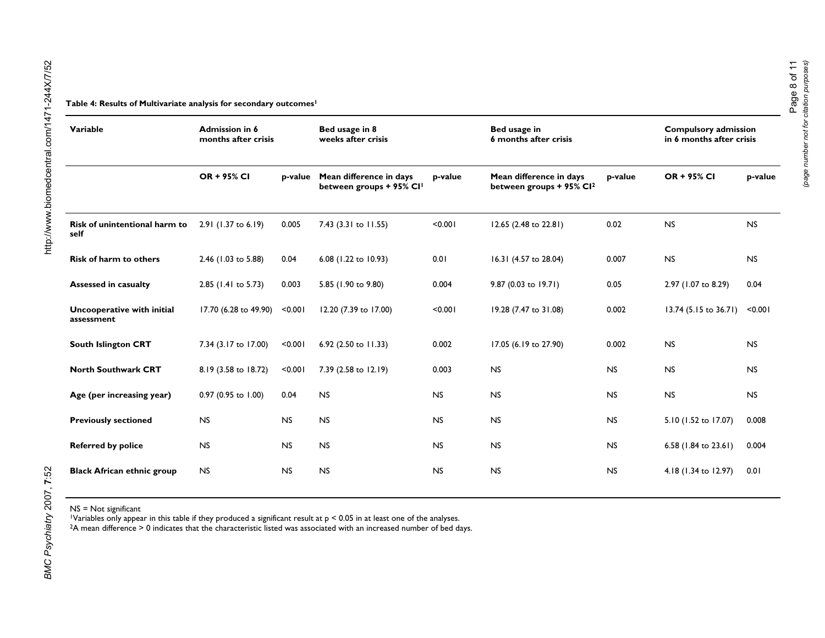| Variable                                 | <b>Admission in 6</b><br>months after crisis |           | Bed usage in 8<br>weeks after crisis               |                | Bed usage in<br>6 months after crisis                           |           | <b>Compulsory admission</b><br>in 6 months after crisis |           |
|------------------------------------------|----------------------------------------------|-----------|----------------------------------------------------|----------------|-----------------------------------------------------------------|-----------|---------------------------------------------------------|-----------|
|                                          | <b>OR + 95% CI</b>                           | p-value   | Mean difference in days<br>between groups + 95% CI | p-value        | Mean difference in days<br>between groups + 95% Cl <sup>2</sup> | p-value   | OR + 95% CI                                             | p-value   |
| Risk of unintentional harm to<br>self    | 2.91 (1.37 to 6.19)                          | 0.005     | 7.43 (3.31 to 11.55)                               | < 0.001        | 12.65 (2.48 to 22.81)                                           | 0.02      | <b>NS</b>                                               | <b>NS</b> |
| <b>Risk of harm to others</b>            | 2.46 (1.03 to 5.88)                          | 0.04      | 6.08 (1.22 to 10.93)                               | 0.01           | 16.31 (4.57 to 28.04)                                           | 0.007     | <b>NS</b>                                               | <b>NS</b> |
| <b>Assessed in casualty</b>              | 2.85 (1.41 to 5.73)                          | 0.003     | 5.85 (1.90 to 9.80)                                | 0.004          | 9.87 (0.03 to 19.71)                                            | 0.05      | 2.97 (1.07 to 8.29)                                     | 0.04      |
| Uncooperative with initial<br>assessment | 17.70 (6.28 to 49.90)                        | < 0.001   | 12.20 (7.39 to 17.00)                              | < 0.001        | 19.28 (7.47 to 31.08)                                           | 0.002     | 13.74 (5.15 to 36.71)                                   | < 0.001   |
| <b>South Islington CRT</b>               | 7.34 (3.17 to 17.00)                         | < 0.001   | 6.92 (2.50 to 11.33)                               | 0.002          | 17.05 (6.19 to 27.90)                                           | 0.002     | <b>NS</b>                                               | <b>NS</b> |
| <b>North Southwark CRT</b>               | 8.19 (3.58 to 18.72)                         | < 0.001   | 7.39 (2.58 to 12.19)                               | 0.003          | <b>NS</b>                                                       | <b>NS</b> | <b>NS</b>                                               | <b>NS</b> |
| Age (per increasing year)                | 0.97 (0.95 to 1.00)                          | 0.04      | <b>NS</b>                                          | <b>NS</b>      | <b>NS</b>                                                       | <b>NS</b> | <b>NS</b>                                               | <b>NS</b> |
| <b>Previously sectioned</b>              | <b>NS</b>                                    | <b>NS</b> | <b>NS</b>                                          | <b>NS</b>      | <b>NS</b>                                                       | <b>NS</b> | 5.10 (1.52 to 17.07)                                    | 0.008     |
| <b>Referred by police</b>                | <b>NS</b>                                    | <b>NS</b> | <b>NS</b>                                          | N <sub>S</sub> | <b>NS</b>                                                       | <b>NS</b> | 6.58 (1.84 to 23.61)                                    | 0.004     |
| <b>Black African ethnic group</b>        | <b>NS</b>                                    | <b>NS</b> | <b>NS</b>                                          | N <sub>S</sub> | <b>NS</b>                                                       | <b>NS</b> | 4.18 (1.34 to 12.97)                                    | 0.01      |

NS = Not significant

 $^{\rm l}$ Variables only appear in this table if they produced a significant result at p < 0.05 in at least one of the analyses.

 $^2$ A mean difference > 0 indicates that the characteristic listed was associated with an increased number of bed days.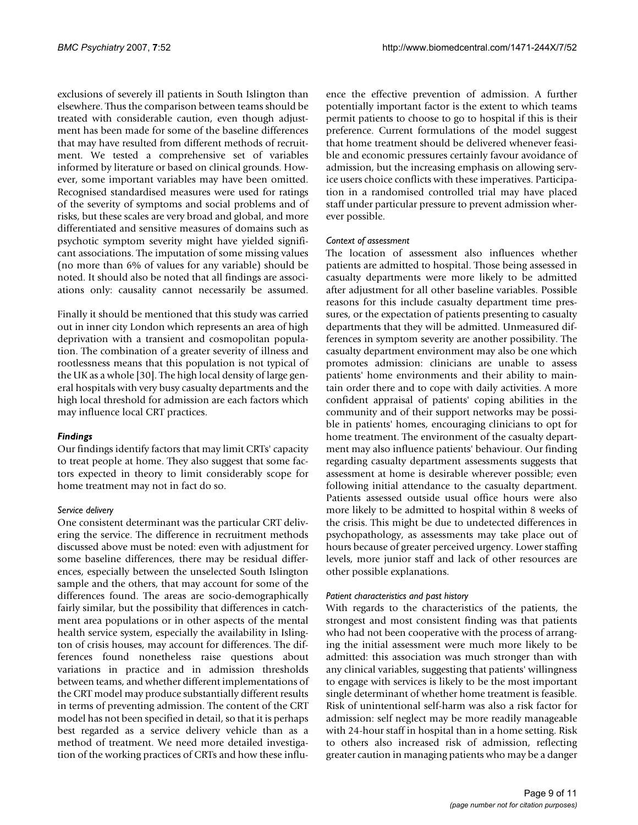exclusions of severely ill patients in South Islington than elsewhere. Thus the comparison between teams should be treated with considerable caution, even though adjustment has been made for some of the baseline differences that may have resulted from different methods of recruitment. We tested a comprehensive set of variables informed by literature or based on clinical grounds. However, some important variables may have been omitted. Recognised standardised measures were used for ratings of the severity of symptoms and social problems and of risks, but these scales are very broad and global, and more differentiated and sensitive measures of domains such as psychotic symptom severity might have yielded significant associations. The imputation of some missing values (no more than 6% of values for any variable) should be noted. It should also be noted that all findings are associations only: causality cannot necessarily be assumed.

Finally it should be mentioned that this study was carried out in inner city London which represents an area of high deprivation with a transient and cosmopolitan population. The combination of a greater severity of illness and rootlessness means that this population is not typical of the UK as a whole [30]. The high local density of large general hospitals with very busy casualty departments and the high local threshold for admission are each factors which may influence local CRT practices.

# *Findings*

Our findings identify factors that may limit CRTs' capacity to treat people at home. They also suggest that some factors expected in theory to limit considerably scope for home treatment may not in fact do so.

# *Service delivery*

One consistent determinant was the particular CRT delivering the service. The difference in recruitment methods discussed above must be noted: even with adjustment for some baseline differences, there may be residual differences, especially between the unselected South Islington sample and the others, that may account for some of the differences found. The areas are socio-demographically fairly similar, but the possibility that differences in catchment area populations or in other aspects of the mental health service system, especially the availability in Islington of crisis houses, may account for differences. The differences found nonetheless raise questions about variations in practice and in admission thresholds between teams, and whether different implementations of the CRT model may produce substantially different results in terms of preventing admission. The content of the CRT model has not been specified in detail, so that it is perhaps best regarded as a service delivery vehicle than as a method of treatment. We need more detailed investigation of the working practices of CRTs and how these influence the effective prevention of admission. A further potentially important factor is the extent to which teams permit patients to choose to go to hospital if this is their preference. Current formulations of the model suggest that home treatment should be delivered whenever feasible and economic pressures certainly favour avoidance of admission, but the increasing emphasis on allowing service users choice conflicts with these imperatives. Participation in a randomised controlled trial may have placed staff under particular pressure to prevent admission wherever possible.

# *Context of assessment*

The location of assessment also influences whether patients are admitted to hospital. Those being assessed in casualty departments were more likely to be admitted after adjustment for all other baseline variables. Possible reasons for this include casualty department time pressures, or the expectation of patients presenting to casualty departments that they will be admitted. Unmeasured differences in symptom severity are another possibility. The casualty department environment may also be one which promotes admission: clinicians are unable to assess patients' home environments and their ability to maintain order there and to cope with daily activities. A more confident appraisal of patients' coping abilities in the community and of their support networks may be possible in patients' homes, encouraging clinicians to opt for home treatment. The environment of the casualty department may also influence patients' behaviour. Our finding regarding casualty department assessments suggests that assessment at home is desirable wherever possible; even following initial attendance to the casualty department. Patients assessed outside usual office hours were also more likely to be admitted to hospital within 8 weeks of the crisis. This might be due to undetected differences in psychopathology, as assessments may take place out of hours because of greater perceived urgency. Lower staffing levels, more junior staff and lack of other resources are other possible explanations.

# *Patient characteristics and past history*

With regards to the characteristics of the patients, the strongest and most consistent finding was that patients who had not been cooperative with the process of arranging the initial assessment were much more likely to be admitted: this association was much stronger than with any clinical variables, suggesting that patients' willingness to engage with services is likely to be the most important single determinant of whether home treatment is feasible. Risk of unintentional self-harm was also a risk factor for admission: self neglect may be more readily manageable with 24-hour staff in hospital than in a home setting. Risk to others also increased risk of admission, reflecting greater caution in managing patients who may be a danger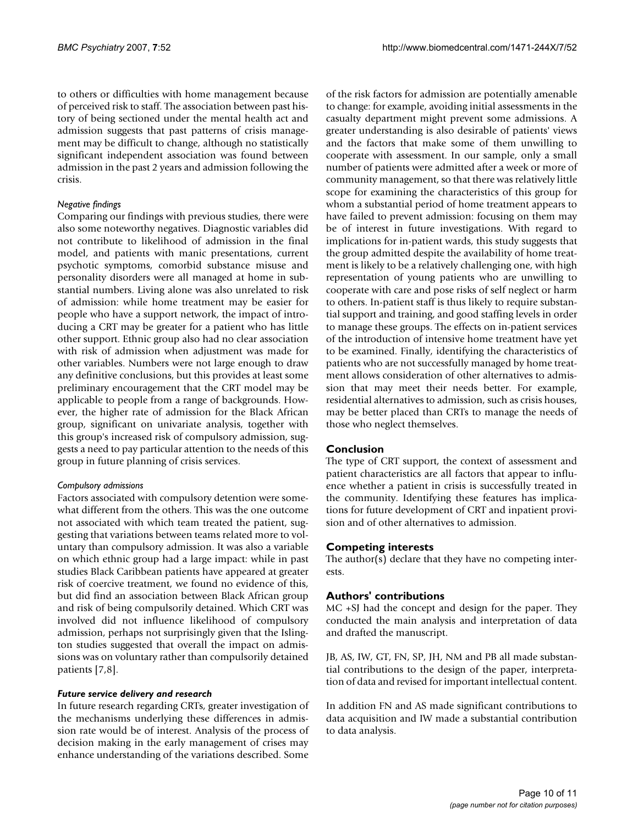to others or difficulties with home management because of perceived risk to staff. The association between past history of being sectioned under the mental health act and admission suggests that past patterns of crisis management may be difficult to change, although no statistically significant independent association was found between admission in the past 2 years and admission following the crisis.

#### *Negative findings*

Comparing our findings with previous studies, there were also some noteworthy negatives. Diagnostic variables did not contribute to likelihood of admission in the final model, and patients with manic presentations, current psychotic symptoms, comorbid substance misuse and personality disorders were all managed at home in substantial numbers. Living alone was also unrelated to risk of admission: while home treatment may be easier for people who have a support network, the impact of introducing a CRT may be greater for a patient who has little other support. Ethnic group also had no clear association with risk of admission when adjustment was made for other variables. Numbers were not large enough to draw any definitive conclusions, but this provides at least some preliminary encouragement that the CRT model may be applicable to people from a range of backgrounds. However, the higher rate of admission for the Black African group, significant on univariate analysis, together with this group's increased risk of compulsory admission, suggests a need to pay particular attention to the needs of this group in future planning of crisis services.

#### *Compulsory admissions*

Factors associated with compulsory detention were somewhat different from the others. This was the one outcome not associated with which team treated the patient, suggesting that variations between teams related more to voluntary than compulsory admission. It was also a variable on which ethnic group had a large impact: while in past studies Black Caribbean patients have appeared at greater risk of coercive treatment, we found no evidence of this, but did find an association between Black African group and risk of being compulsorily detained. Which CRT was involved did not influence likelihood of compulsory admission, perhaps not surprisingly given that the Islington studies suggested that overall the impact on admissions was on voluntary rather than compulsorily detained patients [7,8].

#### *Future service delivery and research*

In future research regarding CRTs, greater investigation of the mechanisms underlying these differences in admission rate would be of interest. Analysis of the process of decision making in the early management of crises may enhance understanding of the variations described. Some of the risk factors for admission are potentially amenable to change: for example, avoiding initial assessments in the casualty department might prevent some admissions. A greater understanding is also desirable of patients' views and the factors that make some of them unwilling to cooperate with assessment. In our sample, only a small number of patients were admitted after a week or more of community management, so that there was relatively little scope for examining the characteristics of this group for whom a substantial period of home treatment appears to have failed to prevent admission: focusing on them may be of interest in future investigations. With regard to implications for in-patient wards, this study suggests that the group admitted despite the availability of home treatment is likely to be a relatively challenging one, with high representation of young patients who are unwilling to cooperate with care and pose risks of self neglect or harm to others. In-patient staff is thus likely to require substantial support and training, and good staffing levels in order to manage these groups. The effects on in-patient services of the introduction of intensive home treatment have yet to be examined. Finally, identifying the characteristics of patients who are not successfully managed by home treatment allows consideration of other alternatives to admission that may meet their needs better. For example, residential alternatives to admission, such as crisis houses, may be better placed than CRTs to manage the needs of those who neglect themselves.

# **Conclusion**

The type of CRT support, the context of assessment and patient characteristics are all factors that appear to influence whether a patient in crisis is successfully treated in the community. Identifying these features has implications for future development of CRT and inpatient provision and of other alternatives to admission.

# **Competing interests**

The author(s) declare that they have no competing interests.

# **Authors' contributions**

MC +SJ had the concept and design for the paper. They conducted the main analysis and interpretation of data and drafted the manuscript.

JB, AS, IW, GT, FN, SP, JH, NM and PB all made substantial contributions to the design of the paper, interpretation of data and revised for important intellectual content.

In addition FN and AS made significant contributions to data acquisition and IW made a substantial contribution to data analysis.